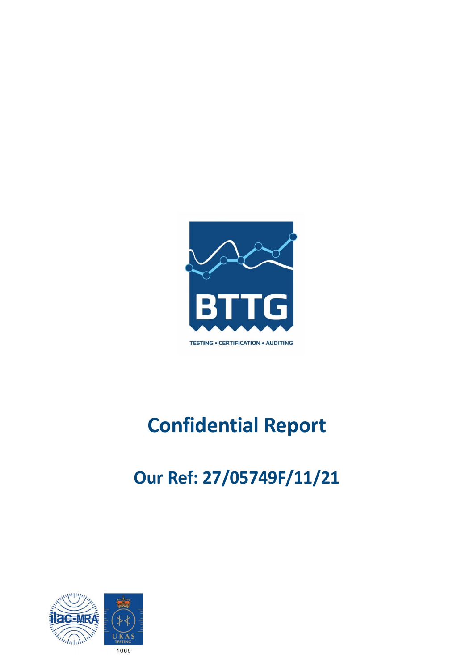

# **Confidential Report**

# **Our Ref: 27/05749F/11/21**

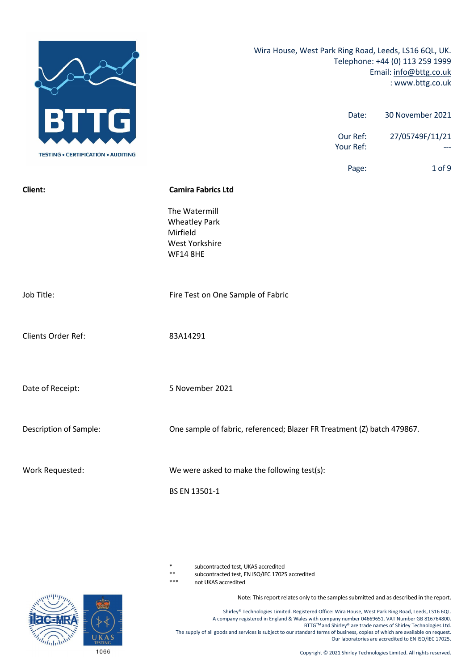

subcontracted test, UKAS accredited

\*\* subcontracted test, EN ISO/IEC 17025 accredited

not UKAS accredited

Note: This report relates only to the samples submitted and as described in the report.

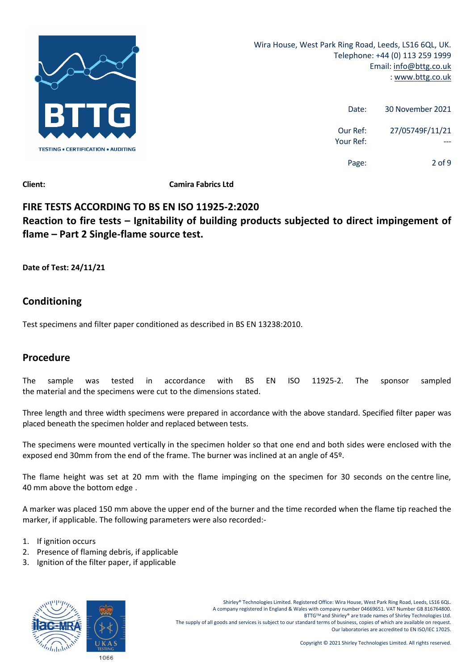

| 30 November 2021 | Date:                 |
|------------------|-----------------------|
| 27/05749F/11/21  | Our Ref:<br>Your Ref: |
| 2 of 9           | Page:                 |

**Client: Camira Fabrics Ltd**

# **FIRE TESTS ACCORDING TO BS EN ISO 11925‐2:2020 Reaction to fire tests – Ignitability of building products subjected to direct impingement of flame – Part 2 Single‐flame source test.**

**Date of Test: 24/11/21**

# **Conditioning**

Test specimens and filter paper conditioned as described in BS EN 13238:2010.

# **Procedure**

The sample was tested in accordance with BS EN ISO 11925‐2. The sponsor sampled the material and the specimens were cut to the dimensions stated.

Three length and three width specimens were prepared in accordance with the above standard. Specified filter paper was placed beneath the specimen holder and replaced between tests.

The specimens were mounted vertically in the specimen holder so that one end and both sides were enclosed with the exposed end 30mm from the end of the frame. The burner was inclined at an angle of 45º.

The flame height was set at 20 mm with the flame impinging on the specimen for 30 seconds on the centre line, 40 mm above the bottom edge .

A marker was placed 150 mm above the upper end of the burner and the time recorded when the flame tip reached the marker, if applicable. The following parameters were also recorded:‐

- 1. If ignition occurs
- 2. Presence of flaming debris, if applicable
- 3. Ignition of the filter paper, if applicable

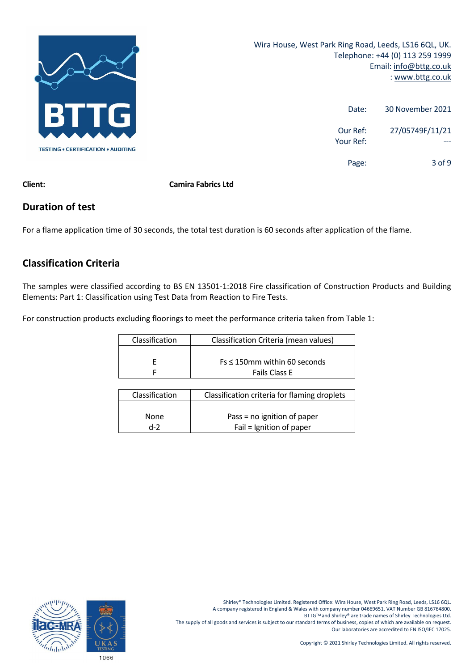

| 30 November 2021 | Date:                 |
|------------------|-----------------------|
| 27/05749F/11/21  | Our Ref:<br>Your Ref: |
| $3$ of 9         | Page:                 |

**Client: Camira Fabrics Ltd**

## **Duration of test**

For a flame application time of 30 seconds, the total test duration is 60 seconds after application of the flame.

# **Classification Criteria**

The samples were classified according to BS EN 13501‐1:2018 Fire classification of Construction Products and Building Elements: Part 1: Classification using Test Data from Reaction to Fire Tests.

For construction products excluding floorings to meet the performance criteria taken from Table 1:

| Classification | Classification Criteria (mean values) |
|----------------|---------------------------------------|
|                |                                       |
|                | $Fs \leq 150$ mm within 60 seconds    |
|                | <b>Fails Class E</b>                  |

| Classification | Classification criteria for flaming droplets |
|----------------|----------------------------------------------|
|                |                                              |
| <b>None</b>    | Pass = no ignition of paper                  |
| $d-2$          | Fail = Ignition of paper                     |

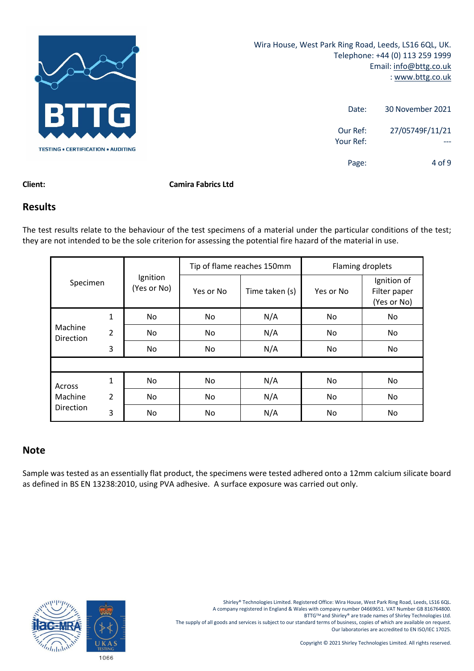

| 30 November 2021 | Date:                 |
|------------------|-----------------------|
| 27/05749F/11/21  | Our Ref:<br>Your Ref: |
| $4$ of 9         | Page:                 |

#### **Client: Camira Fabrics Ltd**

#### **Results**

The test results relate to the behaviour of the test specimens of a material under the particular conditions of the test; they are not intended to be the sole criterion for assessing the potential fire hazard of the material in use.

|                             |                |                         | Tip of flame reaches 150mm |                | Flaming droplets |                                            |
|-----------------------------|----------------|-------------------------|----------------------------|----------------|------------------|--------------------------------------------|
| Specimen                    |                | Ignition<br>(Yes or No) | Yes or No                  | Time taken (s) | Yes or No        | Ignition of<br>Filter paper<br>(Yes or No) |
|                             | 1              | No                      | No                         | N/A            | No.              | No.                                        |
| Machine<br><b>Direction</b> | $\overline{2}$ | No.                     | No                         | N/A            | No.              | No                                         |
|                             | 3              | No                      | No                         | N/A            | No               | No                                         |
|                             |                |                         |                            |                |                  |                                            |
| Across                      | 1              | No                      | No                         | N/A            | No               | No                                         |
| Machine                     | $\overline{2}$ | No                      | No                         | N/A            | No.              | No.                                        |
| Direction                   | 3              | No.                     | No                         | N/A            | No               | No                                         |

### **Note**

Sample was tested as an essentially flat product, the specimens were tested adhered onto a 12mm calcium silicate board as defined in BS EN 13238:2010, using PVA adhesive. A surface exposure was carried out only.

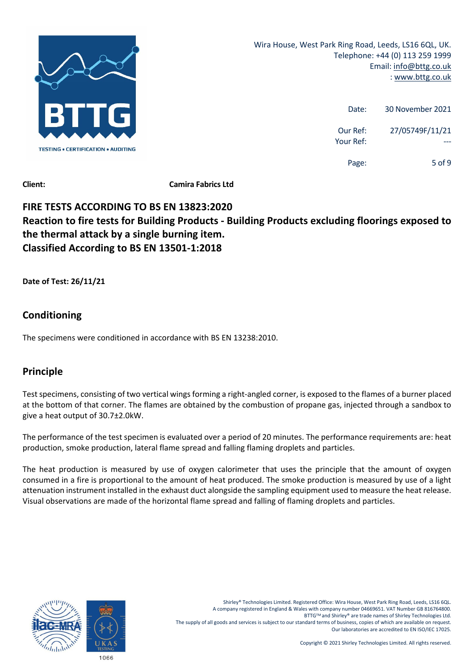

| 30 November 2021 | Date:                 |
|------------------|-----------------------|
| 27/05749F/11/21  | Our Ref:<br>Your Ref: |
| 5 of 9           | Page:                 |

**Client: Camira Fabrics Ltd**

# **FIRE TESTS ACCORDING TO BS EN 13823:2020 Reaction to fire tests for Building Products ‐ Building Products excluding floorings exposed to the thermal attack by a single burning item. Classified According to BS EN 13501‐1:2018**

**Date of Test: 26/11/21**

# **Conditioning**

The specimens were conditioned in accordance with BS EN 13238:2010.

# **Principle**

Test specimens, consisting of two vertical wings forming a right-angled corner, is exposed to the flames of a burner placed at the bottom of that corner. The flames are obtained by the combustion of propane gas, injected through a sandbox to give a heat output of 30.7±2.0kW.

The performance of the test specimen is evaluated over a period of 20 minutes. The performance requirements are: heat production, smoke production, lateral flame spread and falling flaming droplets and particles.

The heat production is measured by use of oxygen calorimeter that uses the principle that the amount of oxygen consumed in a fire is proportional to the amount of heat produced. The smoke production is measured by use of a light attenuation instrument installed in the exhaust duct alongside the sampling equipment used to measure the heat release. Visual observations are made of the horizontal flame spread and falling of flaming droplets and particles.

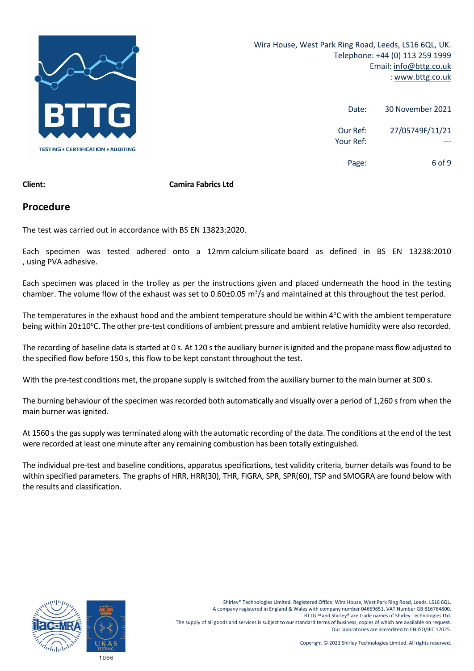

| 30 November 2021 | Date:                 |
|------------------|-----------------------|
| 27/05749F/11/21  | Our Ref:<br>Your Ref: |
| 6 of 9           | Page:                 |

#### **Client: Camira Fabrics Ltd**

#### **Procedure**

The test was carried out in accordance with BS EN 13823:2020.

Each specimen was tested adhered onto a 12mm calcium silicate board as defined in BS EN 13238:2010 , using PVA adhesive.

Each specimen was placed in the trolley as per the instructions given and placed underneath the hood in the testing chamber. The volume flow of the exhaust was set to 0.60±0.05  $m^3/s$  and maintained at this throughout the test period.

The temperatures in the exhaust hood and the ambient temperature should be within 4°C with the ambient temperature being within 20±10°C. The other pre-test conditions of ambient pressure and ambient relative humidity were also recorded.

The recording of baseline data is started at 0 s. At 120 s the auxiliary burner is ignited and the propane mass flow adjusted to the specified flow before 150 s, this flow to be kept constant throughout the test.

With the pre-test conditions met, the propane supply is switched from the auxiliary burner to the main burner at 300 s.

The burning behaviour of the specimen was recorded both automatically and visually over a period of 1,260 s from when the main burner was ignited.

At 1560 s the gas supply was terminated along with the automatic recording of the data. The conditions at the end of the test were recorded at least one minute after any remaining combustion has been totally extinguished.

The individual pre‐test and baseline conditions, apparatus specifications, test validity criteria, burner details was found to be within specified parameters. The graphs of HRR, HRR(30), THR, FIGRA, SPR, SPR(60), TSP and SMOGRA are found below with the results and classification.

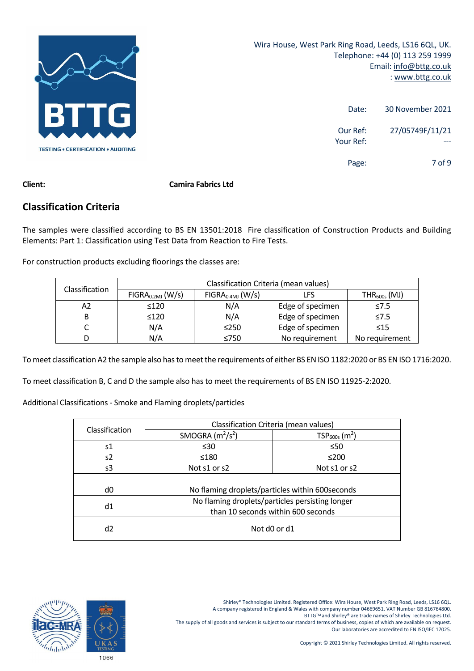

| 30 November 2021 | Date:                 |
|------------------|-----------------------|
| 27/05749F/11/21  | Our Ref:<br>Your Ref: |
| 7 of 9           | Page:                 |

#### **Client: Camira Fabrics Ltd**

### **Classification Criteria**

The samples were classified according to BS EN 13501:2018 Fire classification of Construction Products and Building Elements: Part 1: Classification using Test Data from Reaction to Fire Tests.

For construction products excluding floorings the classes are:

| <b>Classification</b> | Classification Criteria (mean values) |                                                          |                  |                |  |
|-----------------------|---------------------------------------|----------------------------------------------------------|------------------|----------------|--|
|                       | FIGRA <sub>0.2MJ</sub> (W/s)          | FIGRA <sub>0.4MJ</sub> (W/s)<br>$THR_{600s}$ (MJ)<br>LFS |                  |                |  |
| А2                    | $\leq 120$                            | N/A                                                      | Edge of specimen | $\leq 7.5$     |  |
| В                     | $\leq 120$                            | N/A                                                      | Edge of specimen | $\leq 7.5$     |  |
|                       | N/A                                   | $\leq$ 250                                               | Edge of specimen | $\leq 15$      |  |
| D                     | N/A                                   | $\leq 750$                                               | No requirement   | No requirement |  |

To meet classification A2 the sample also has to meet the requirements of either BS EN ISO 1182:2020 or BS EN ISO 1716:2020.

To meet classification B, C and D the sample also has to meet the requirements of BS EN ISO 11925‐2:2020.

Additional Classifications ‐ Smoke and Flaming droplets/particles

| Classification | Classification Criteria (mean values)            |                             |  |
|----------------|--------------------------------------------------|-----------------------------|--|
|                | SMOGRA $(m^2/s^2)$                               | $TSP600s$ (m <sup>2</sup> ) |  |
| s1             | $\leq 30$                                        | $\leq 50$                   |  |
| s2             | ≤180                                             | $≤200$                      |  |
| s3             | Not s1 or s2                                     | Not s1 or s2                |  |
|                |                                                  |                             |  |
| d0             | No flaming droplets/particles within 600 seconds |                             |  |
| d1             | No flaming droplets/particles persisting longer  |                             |  |
|                | than 10 seconds within 600 seconds               |                             |  |
| d2             | Not d0 or d1                                     |                             |  |

BTTG™ and Shirley® are trade names of Shirley Technologies Ltd.

The supply of all goods and services is subject to our standard terms of business, copies of which are available on request. Our laboratories are accredited to EN ISO/IEC 17025.

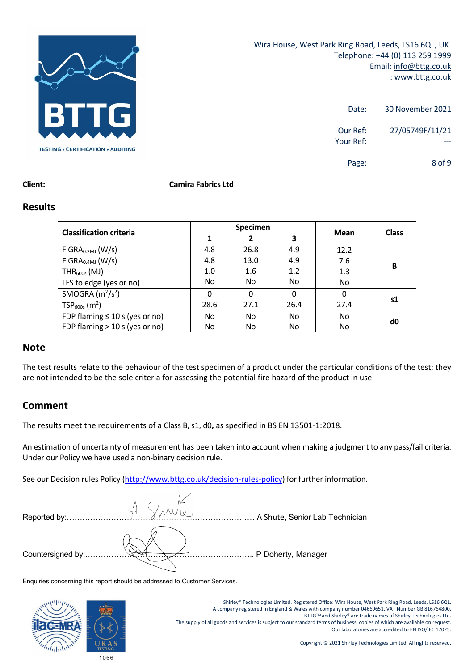

| 30 November 2021              | Date:                 |
|-------------------------------|-----------------------|
| 27/05749F/11/21               | Our Ref:<br>Your Ref: |
| 8 <sub>0</sub> f <sub>9</sub> | Page:                 |

#### **Client: Camira Fabrics Ltd**

#### **Results**

|                                     | <b>Specimen</b> |      |          | Mean |              |
|-------------------------------------|-----------------|------|----------|------|--------------|
| <b>Classification criteria</b>      |                 | 2    | 3        |      | <b>Class</b> |
| FIGRA <sub>0.2MJ</sub> (W/s)        | 4.8             | 26.8 | 4.9      | 12.2 |              |
| FIGRA <sub>0.4MJ</sub> (W/s)        | 4.8             | 13.0 | 4.9      | 7.6  | B            |
| $THR600s$ (MJ)                      | 1.0             | 1.6  | 1.2      | 1.3  |              |
| LFS to edge (yes or no)             | No.             | No.  | No.      | No   |              |
| SMOGRA $(m^2/s^2)$                  | $\Omega$        | 0    | $\Omega$ | 0    |              |
| $TSP600s$ (m <sup>2</sup> )         | 28.6            | 27.1 | 26.4     | 27.4 | s1           |
| FDP flaming $\leq 10$ s (yes or no) | No.             | No.  | No.      | No   | d0           |
| FDP flaming $>$ 10 s (yes or no)    | No.             | No   | No       | No   |              |

#### **Note**

The test results relate to the behaviour of the test specimen of a product under the particular conditions of the test; they are not intended to be the sole criteria for assessing the potential fire hazard of the product in use.

## **Comment**

The results meet the requirements of a Class B, s1, d0**,** as specified in BS EN 13501‐1:2018.

An estimation of uncertainty of measurement has been taken into account when making a judgment to any pass/fail criteria. Under our Policy we have used a non‐binary decision rule.

See our Decision rules Policy (http://www.bttg.co.uk/decision-rules-policy) for further information.

| Reported by:      | A Shute, Senior Lab Technician |
|-------------------|--------------------------------|
|                   |                                |
| Countersigned by: | P Doherty, Manager             |

Enquiries concerning this report should be addressed to Customer Services.